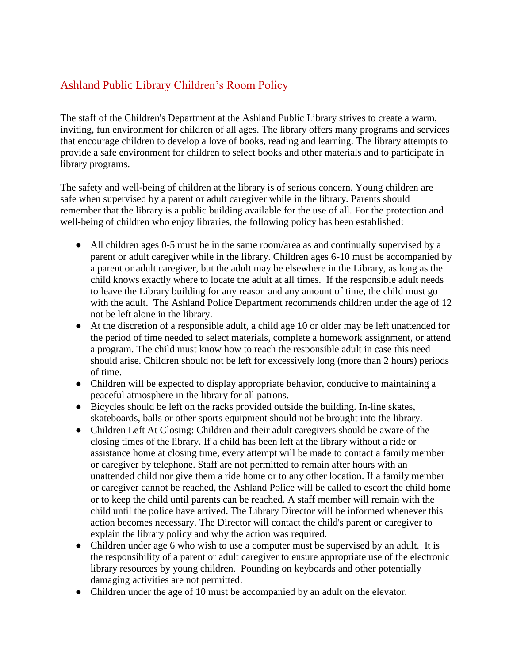## Ashland Public Library Children's Room Policy

The staff of the Children's Department at the Ashland Public Library strives to create a warm, inviting, fun environment for children of all ages. The library offers many programs and services that encourage children to develop a love of books, reading and learning. The library attempts to provide a safe environment for children to select books and other materials and to participate in library programs.

The safety and well-being of children at the library is of serious concern. Young children are safe when supervised by a parent or adult caregiver while in the library. Parents should remember that the library is a public building available for the use of all. For the protection and well-being of children who enjoy libraries, the following policy has been established:

- All children ages 0-5 must be in the same room/area as and continually supervised by a parent or adult caregiver while in the library. Children ages 6-10 must be accompanied by a parent or adult caregiver, but the adult may be elsewhere in the Library, as long as the child knows exactly where to locate the adult at all times. If the responsible adult needs to leave the Library building for any reason and any amount of time, the child must go with the adult. The Ashland Police Department recommends children under the age of 12 not be left alone in the library.
- At the discretion of a responsible adult, a child age 10 or older may be left unattended for the period of time needed to select materials, complete a homework assignment, or attend a program. The child must know how to reach the responsible adult in case this need should arise. Children should not be left for excessively long (more than 2 hours) periods of time.
- Children will be expected to display appropriate behavior, conducive to maintaining a peaceful atmosphere in the library for all patrons.
- Bicycles should be left on the racks provided outside the building. In-line skates, skateboards, balls or other sports equipment should not be brought into the library.
- Children Left At Closing: Children and their adult caregivers should be aware of the closing times of the library. If a child has been left at the library without a ride or assistance home at closing time, every attempt will be made to contact a family member or caregiver by telephone. Staff are not permitted to remain after hours with an unattended child nor give them a ride home or to any other location. If a family member or caregiver cannot be reached, the Ashland Police will be called to escort the child home or to keep the child until parents can be reached. A staff member will remain with the child until the police have arrived. The Library Director will be informed whenever this action becomes necessary. The Director will contact the child's parent or caregiver to explain the library policy and why the action was required.
- Children under age 6 who wish to use a computer must be supervised by an adult. It is the responsibility of a parent or adult caregiver to ensure appropriate use of the electronic library resources by young children. Pounding on keyboards and other potentially damaging activities are not permitted.
- Children under the age of 10 must be accompanied by an adult on the elevator.